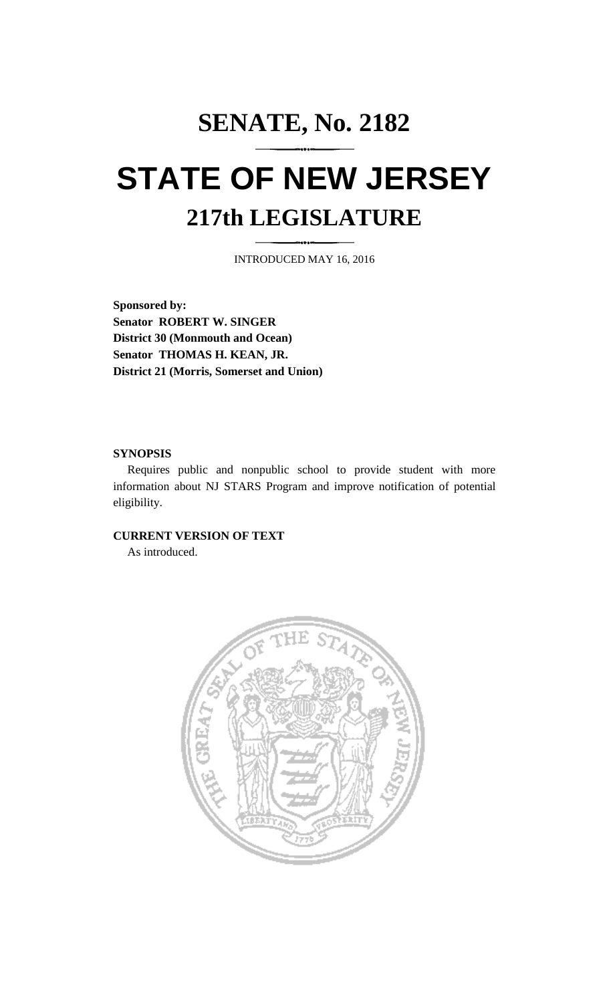## **SENATE, No. 2182 STATE OF NEW JERSEY 217th LEGISLATURE**

INTRODUCED MAY 16, 2016

**Sponsored by: Senator ROBERT W. SINGER District 30 (Monmouth and Ocean) Senator THOMAS H. KEAN, JR. District 21 (Morris, Somerset and Union)**

## **SYNOPSIS**

Requires public and nonpublic school to provide student with more information about NJ STARS Program and improve notification of potential eligibility.

## **CURRENT VERSION OF TEXT**

As introduced.

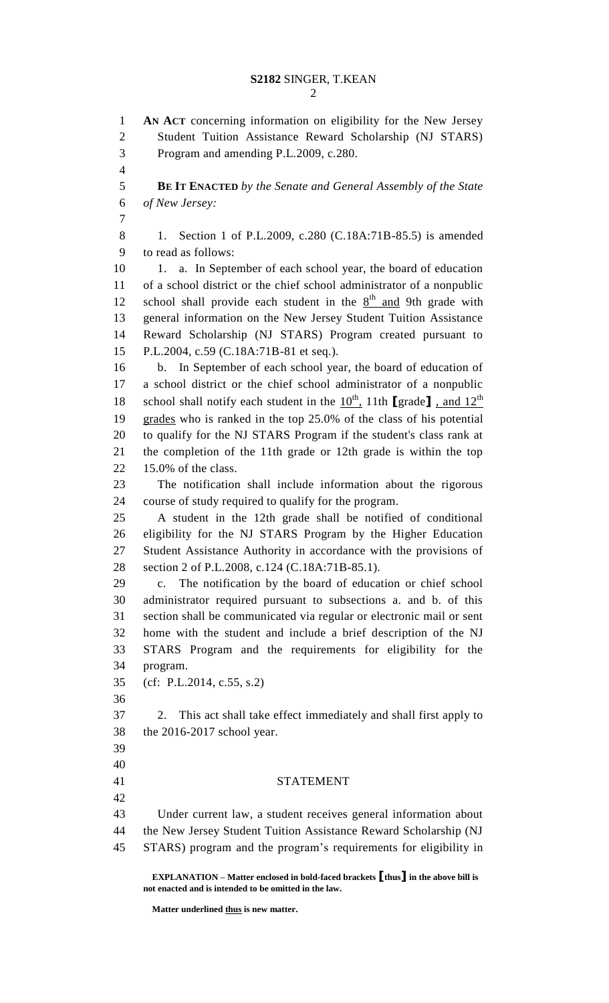**AN ACT** concerning information on eligibility for the New Jersey Student Tuition Assistance Reward Scholarship (NJ STARS) Program and amending P.L.2009, c.280. **BE IT ENACTED** *by the Senate and General Assembly of the State of New Jersey:* 8 1. Section 1 of P.L.2009, c.280 (C.18A:71B-85.5) is amended to read as follows: 10 1. a. In September of each school year, the board of education of a school district or the chief school administrator of a nonpublic 12 school shall provide each student in the  $8<sup>th</sup>$  and 9th grade with general information on the New Jersey Student Tuition Assistance Reward Scholarship (NJ STARS) Program created pursuant to P.L.2004, c.59 (C.18A:71B-81 et seq.). b. In September of each school year, the board of education of a school district or the chief school administrator of a nonpublic 18 school shall notify each student in the  $10^{th}$ , 11th **[**grade**]**, and  $12^{th}$  grades who is ranked in the top 25.0% of the class of his potential to qualify for the NJ STARS Program if the student's class rank at the completion of the 11th grade or 12th grade is within the top 15.0% of the class. The notification shall include information about the rigorous course of study required to qualify for the program. A student in the 12th grade shall be notified of conditional eligibility for the NJ STARS Program by the Higher Education Student Assistance Authority in accordance with the provisions of section 2 of P.L.2008, c.124 (C.18A:71B-85.1). c. The notification by the board of education or chief school administrator required pursuant to subsections a. and b. of this section shall be communicated via regular or electronic mail or sent home with the student and include a brief description of the NJ STARS Program and the requirements for eligibility for the program. (cf: P.L.2014, c.55, s.2) 2. This act shall take effect immediately and shall first apply to the 2016-2017 school year. STATEMENT Under current law, a student receives general information about the New Jersey Student Tuition Assistance Reward Scholarship (NJ STARS) program and the program's requirements for eligibility in

**EXPLANATION – Matter enclosed in bold-faced brackets [thus] in the above bill is not enacted and is intended to be omitted in the law.**

**Matter underlined thus is new matter.**